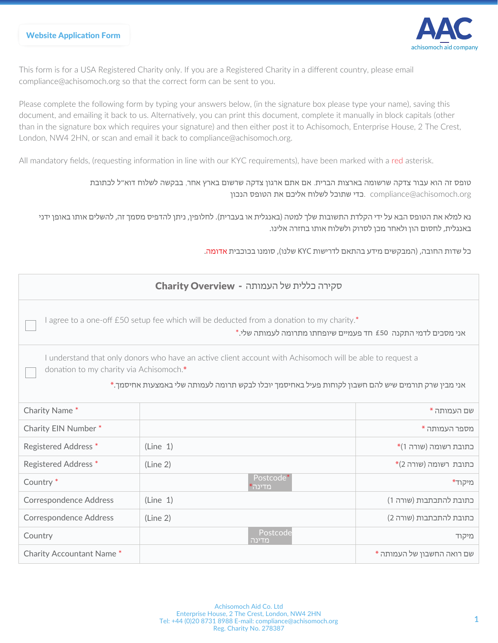

This form is for a USA Registered Charity only. If you are a Registered Charity in a different country, please email compliance@achisomoch.org so that the correct form can be sent to you.

Please complete the following form by typing your answers below, (in the signature box please type your name), saving this document, and emailing it back to us. Alternatively, you can print this document, complete it manually in block capitals (other than in the signature box which requires your signature) and then either post it to Achisomoch, Enterprise House, 2 The Crest, London, NW4 2HN, or scan and email it back to compliance@achisomoch.org.

All mandatory fields, (requesting information in line with our KYC requirements), have been marked with a red asterisk.

טופס זה הוא עבור צדקה שרשומה בארצות הברית. אם אתם ארגון צדקה שרשום בארץ אחר, בבקשה לשלוח דוא"ל לכתובת compliance@achisomoch.org. בדי שתוכל לשלוח אליכם את הטופס הנכון

 נא למלא את הטופס הבא על ידי הקלדת התשובות שלך למטה (באנגלית או בעברית). לחלופין, ניתן להדפיס מסמך זה, להשלים אותו באופן ידני באנגלית, לחסום הון ולאחר מכן לסרוק ולשלוח אותו בחזרה אלינו.

כל שדות החובה, (המבקשים מידע בהתאם לדרישות KYC שלנו), סומנו בכוכבית אדומה.

| סקירה בללית של העמותה - Charity Overview                                                                                                                                                                                                                   |          |                     |                            |  |  |  |
|------------------------------------------------------------------------------------------------------------------------------------------------------------------------------------------------------------------------------------------------------------|----------|---------------------|----------------------------|--|--|--|
| I agree to a one-off £50 setup fee which will be deducted from a donation to my charity.*<br>אני מסכים לדמי התקנה £50 חד פעמיים שיופחתו מתרומה לעמותה שלי.*                                                                                                |          |                     |                            |  |  |  |
| I understand that only donors who have an active client account with Achisomoch will be able to request a<br>donation to my charity via Achisomoch.*<br>אני מבין שרק תורמים שיש להם חשבון לקוחות פעיל באחיסמך יוכלו לבקש תרומה לעמותה שלי באמצעות אחיסמך.* |          |                     |                            |  |  |  |
| Charity Name*                                                                                                                                                                                                                                              |          |                     | שם העמותה *                |  |  |  |
| Charity EIN Number*                                                                                                                                                                                                                                        |          |                     | מספר העמותה *              |  |  |  |
| <b>Registered Address *</b>                                                                                                                                                                                                                                | (Line 1) |                     | *כתובת רשומה (שורה 1)      |  |  |  |
| <b>Registered Address *</b>                                                                                                                                                                                                                                | (Line 2) |                     | *כתובת רשומה (שורה 2)      |  |  |  |
| Country <sup>*</sup>                                                                                                                                                                                                                                       |          | Postcode*<br>מדינה* | מיקוד*                     |  |  |  |
| <b>Correspondence Address</b>                                                                                                                                                                                                                              | (Line 1) |                     | כתובת להתכתבות (שורה 1)    |  |  |  |
| <b>Correspondence Address</b>                                                                                                                                                                                                                              | (Line 2) |                     | כתובת להתכתבות (שורה 2)    |  |  |  |
| Country                                                                                                                                                                                                                                                    |          | Postcode<br>מדינה   | מיקוד                      |  |  |  |
| <b>Charity Accountant Name *</b>                                                                                                                                                                                                                           |          |                     | שם רואה החשבון של העמותה * |  |  |  |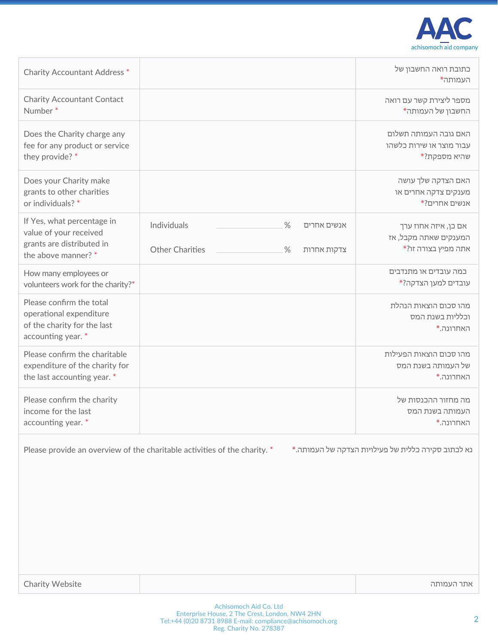

| <b>Charity Accountant Address *</b>                                                                      |                                                                                     | כתובת רואה החשבון של<br>העמותה*                                      |
|----------------------------------------------------------------------------------------------------------|-------------------------------------------------------------------------------------|----------------------------------------------------------------------|
| <b>Charity Accountant Contact</b><br>Number <sup>*</sup>                                                 |                                                                                     | מספר ליצירת קשר עם רואה<br>החשבון של העמותה*                         |
| Does the Charity charge any<br>fee for any product or service<br>they provide? *                         |                                                                                     | האם גובה העמותה תשלום<br>עבור מוצר או שירות כלשהו<br>שהיא מספקת?*    |
| Does your Charity make<br>grants to other charities<br>or individuals? *                                 |                                                                                     | האם הצדקה שלך עושה<br>מענקים צדקה אחרים או<br>אנשים אחרים?*          |
| If Yes, what percentage in<br>value of your received<br>grants are distributed in<br>the above manner? * | Individuals<br>$\%$<br>אנשים אחרים<br><b>Other Charities</b><br>$\%$<br>צדקות אחרות | אם כן, איזה אחוז ערך<br>המענקים שאתה מקבל, אז<br>אתה מפיץ בצורה זו?* |
| How many employees or<br>volunteers work for the charity?*                                               |                                                                                     | כמה עובדים או מתנדבים<br>עובדים למען הצדקה?*                         |
| Please confirm the total<br>operational expenditure<br>of the charity for the last<br>accounting year. * |                                                                                     | מהו סכום הוצאות הנהלת<br>וכלליות בשנת המס<br>האחרונה.*               |
| Please confirm the charitable<br>expenditure of the charity for<br>the last accounting year. *           |                                                                                     | מהו סכום הוצאות הפעילות<br>של העמותה בשנת המס<br>האחרונה.*           |
| Please confirm the charity<br>income for the last<br>accounting year. *                                  |                                                                                     | מה מחזור ההכנסות של<br>העמותה בשנת המס<br>האחרונה.*                  |

Please provide an overview of the charitable activities of the charity. \* נא לכתוב סקירה כללית של פעילויות הצדקה של העמותה.\*

אתר העמותה

Charity Website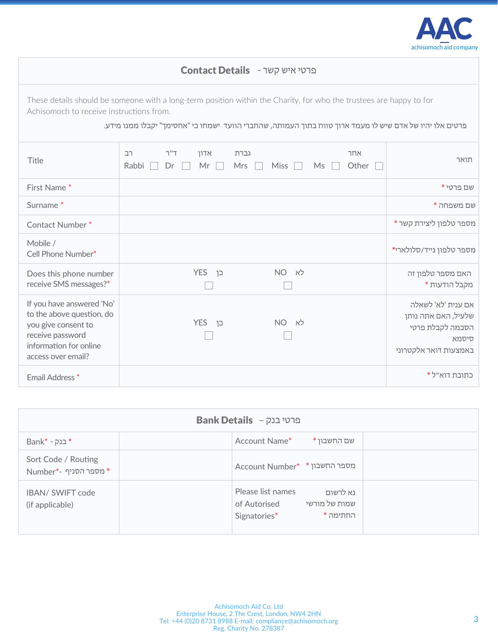

| ברטי איש קשר - Contact Details                                                                                                                    |                                                                                                                                                                                                                                                                             |                                                                                                 |  |  |  |  |
|---------------------------------------------------------------------------------------------------------------------------------------------------|-----------------------------------------------------------------------------------------------------------------------------------------------------------------------------------------------------------------------------------------------------------------------------|-------------------------------------------------------------------------------------------------|--|--|--|--|
|                                                                                                                                                   | These details should be someone with a long-term position within the Charity, for who the trustees are happy to for<br>Achisomoch to receive instructions from.<br>פרטים אלו יהיו של אדם שיש לו מעמד ארוך טווח בתוך העמותה, שהחברי הוועד ישמחו כי "אחסימך" יקבלו ממנו מידע. |                                                                                                 |  |  |  |  |
| Title                                                                                                                                             | T''T<br>גברת<br>אחר<br>רב<br>אדון<br>Mr<br>Other<br>Rabbi<br><b>Mrs</b><br><b>Miss</b><br>Ms<br>Dr                                                                                                                                                                          | תואר                                                                                            |  |  |  |  |
| First Name*                                                                                                                                       |                                                                                                                                                                                                                                                                             | שם פרטי *                                                                                       |  |  |  |  |
| Surname <sup>*</sup>                                                                                                                              |                                                                                                                                                                                                                                                                             | שם משפחה *                                                                                      |  |  |  |  |
| Contact Number*                                                                                                                                   |                                                                                                                                                                                                                                                                             | מספר טלפון ליצירת קשר *                                                                         |  |  |  |  |
| Mobile /<br>Cell Phone Number*                                                                                                                    |                                                                                                                                                                                                                                                                             | מספר טלפון נייד/סלולארי*                                                                        |  |  |  |  |
| Does this phone number<br>receive SMS messages?*                                                                                                  | לא<br><b>YES</b><br>NO <sub>1</sub><br>כו                                                                                                                                                                                                                                   | האם מספר טלפון זה<br>מקבל הודעות *                                                              |  |  |  |  |
| If you have answered 'No'<br>to the above question, do<br>you give consent to<br>receive password<br>information for online<br>access over email? | כן YES<br>$NO$ לא                                                                                                                                                                                                                                                           | אם ענית 'לא' לשאלה<br>שלעיל, האם אתה נותן<br>הסכמה לקבלת פרטי<br>סיסמא<br>באמצעות דואר אלקטרוני |  |  |  |  |
| Email Address <sup>*</sup>                                                                                                                        |                                                                                                                                                                                                                                                                             | כתובת דוא"ל *                                                                                   |  |  |  |  |

| Bank Details - פרטי בנק                    |                                                                                            |  |  |  |  |
|--------------------------------------------|--------------------------------------------------------------------------------------------|--|--|--|--|
| Bank* - בנק                                | Account Name*<br>שם החשבון *                                                               |  |  |  |  |
| Sort Code / Routing<br>Mumber*- מספר הסניף | Account Number* * * אספר החשבון                                                            |  |  |  |  |
| IBAN/ SWIFT code<br>(if applicable)        | Please list names<br>נא לרשום<br>שמות של מורשי<br>of Autorised<br>החתימה *<br>Signatories* |  |  |  |  |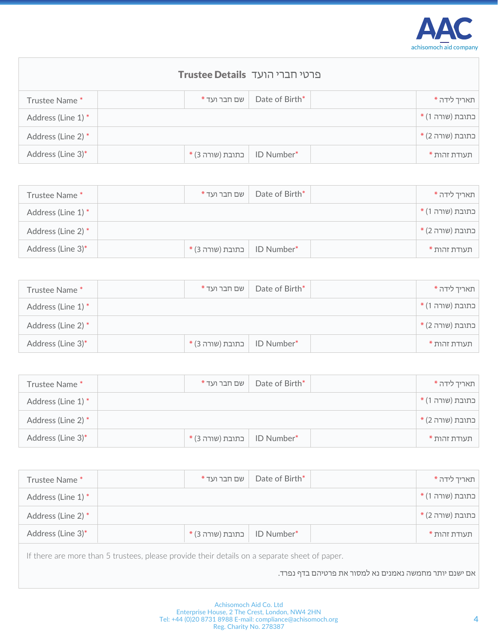

| ברטי חברי הועד Trustee Details |  |                    |                |  |                  |
|--------------------------------|--|--------------------|----------------|--|------------------|
| Trustee Name*                  |  | שם חבר ועד *       | Date of Birth* |  | תאריך לידה *     |
| Address (Line 1) *             |  |                    |                |  | בתובת (שורה 1) * |
| Address (Line 2) *             |  |                    |                |  | בתובת (שורה 2) * |
| Address (Line 3)*              |  | ∣ כתובת (שורה 3) * | ID Number*     |  | תעודת זהות *     |

| Trustee Name*      | שם חבר ועד *                 | Date of Birth* | תאריך לידה *     |
|--------------------|------------------------------|----------------|------------------|
| Address (Line 1) * |                              |                | בתובת (שורה 1) * |
| Address (Line 2) * |                              |                | בתובת (שורה 2) * |
| Address (Line 3)*  | * ID Number   כתובת (שורה 3) |                | תעודת זהות *     |

| Trustee Name*      | שם חבר ועד *                                 | Date of Birth* | תאריך לידה *     |
|--------------------|----------------------------------------------|----------------|------------------|
| Address (Line 1) * |                                              |                | בתובת (שורה 1) * |
| Address (Line 2) * |                                              |                | בתובת (שורה 2) * |
| Address (Line 3)*  | $*(3 \text{ m})$ בתובת (שורה 3) = ID Number* |                | תעודת זהות *     |

| Trustee Name *     | שם חבר ועד *                                      | Date of Birth* | תאריך לידה *     |
|--------------------|---------------------------------------------------|----------------|------------------|
| Address (Line 1) * |                                                   |                | בתובת (שורה 1) * |
| Address (Line 2) * |                                                   |                | בתובת (שורה 2) * |
| Address (Line 3)*  | $*(3 \text{ s})$ בתובת (שורה 3) $\mid$ ID Number* |                | תעודת זהות *     |

| Trustee Name*                                                                                                                                           |  | שם חבר ועד *     | Date of Birth* |  | תאריך לידה *     |
|---------------------------------------------------------------------------------------------------------------------------------------------------------|--|------------------|----------------|--|------------------|
| Address (Line 1) *                                                                                                                                      |  |                  |                |  | כתובת (שורה 1) * |
| Address (Line 2) *                                                                                                                                      |  |                  |                |  | בתובת (שורה 2) * |
| Address (Line 3)*                                                                                                                                       |  | בתובת (שורה 3) * | ID Number*     |  | תעודת זהות *     |
| If there are more than 5 trustees, please provide their details on a separate sheet of paper.<br>אם ישנם יותר מחמשה נאמנים נא למסור את פרטיהם בדף נפרד. |  |                  |                |  |                  |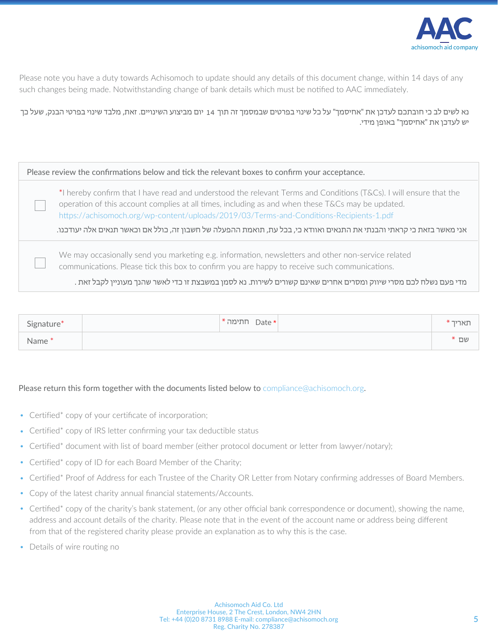

Please note you have a duty towards Achisomoch to update should any details of this document change, within 14 days of any such changes being made. Notwithstanding change of bank details which must be notified to AAC immediately.

 נא לשים לב כי חובתכם לעדכן את "אחיסמך" על כל שינוי בפרטים שבמסמך זה תוך יום מביצוע השינויים. זאת, מלבד שינוי בפרטי הבנק, שעל כך 14 יש לעדכן את "אחיסמך" באופן מידי.

| Please review the confirmations below and tick the relevant boxes to confirm your acceptance.                                                                                                                                                                                                                                                                                                                                               |
|---------------------------------------------------------------------------------------------------------------------------------------------------------------------------------------------------------------------------------------------------------------------------------------------------------------------------------------------------------------------------------------------------------------------------------------------|
| *I hereby confirm that I have read and understood the relevant Terms and Conditions (T&Cs). I will ensure that the<br>operation of this account complies at all times, including as and when these T&Cs may be updated.<br>https://achisomoch.org/wp-content/uploads/2019/03/Terms-and-Conditions-Recipients-1.pdf<br>אני מאשר בזאת כי קראתי והבנתי את התנאים ואוודא כי, בכל עת, תואמת ההפעלה של חשבון זה, כולל אם וכאשר תנאים אלה יעודכנו. |
| We may occasionally send you marketing e.g. information, newsletters and other non-service related<br>communications. Please tick this box to confirm you are happy to receive such communications.<br>מדי פעם נשלח לכם מסרי שיווק ומסרים אחרים שאינם קשורים לשירות. נא לסמן במשבצת זו כדי לאשר שהנך מעוניין לקבל זאת .                                                                                                                     |

| Signature*        | $*$ ותימה Date * | $^*$ ואריך $_1$ |
|-------------------|------------------|-----------------|
| Name <sup>*</sup> |                  | שם *            |

## Please return this form together with the documents listed below to compliance@achisomoch.org.

- Certified\* copy of your certificate of incorporation;
- Certified\* copy of IRS letter confirming your tax deductible status
- Certified\* document with list of board member (either protocol document or letter from lawyer/notary);
- Certified\* copy of ID for each Board Member of the Charity;
- Certified\* Proof of Address for each Trustee of the Charity OR Letter from Notary confirming addresses of Board Members.
- Copy of the latest charity annual financial statements/Accounts.
- Certified\* copy of the charity's bank statement, (or any other official bank correspondence or document), showing the name, address and account details of the charity. Please note that in the event of the account name or address being different from that of the registered charity please provide an explanation as to why this is the case.
- Details of wire routing no